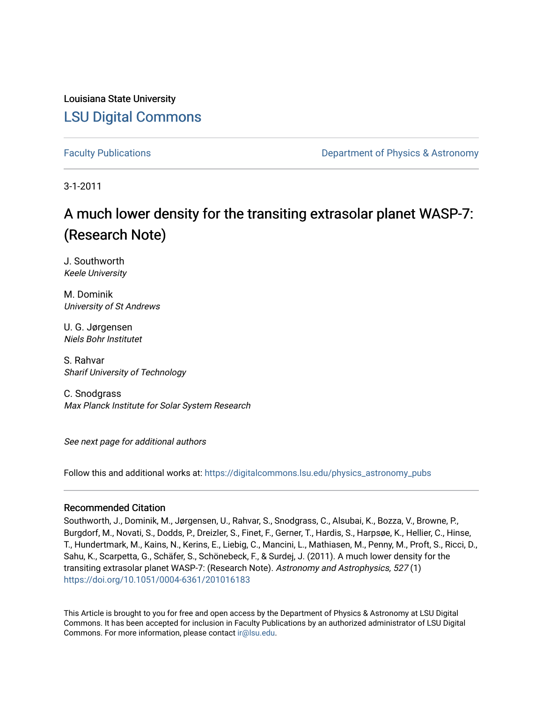Louisiana State University [LSU Digital Commons](https://digitalcommons.lsu.edu/)

[Faculty Publications](https://digitalcommons.lsu.edu/physics_astronomy_pubs) **Example 2** Constant Department of Physics & Astronomy

3-1-2011

# A much lower density for the transiting extrasolar planet WASP-7: (Research Note)

J. Southworth Keele University

M. Dominik University of St Andrews

U. G. Jørgensen Niels Bohr Institutet

S. Rahvar Sharif University of Technology

C. Snodgrass Max Planck Institute for Solar System Research

See next page for additional authors

Follow this and additional works at: [https://digitalcommons.lsu.edu/physics\\_astronomy\\_pubs](https://digitalcommons.lsu.edu/physics_astronomy_pubs?utm_source=digitalcommons.lsu.edu%2Fphysics_astronomy_pubs%2F4229&utm_medium=PDF&utm_campaign=PDFCoverPages) 

## Recommended Citation

Southworth, J., Dominik, M., Jørgensen, U., Rahvar, S., Snodgrass, C., Alsubai, K., Bozza, V., Browne, P., Burgdorf, M., Novati, S., Dodds, P., Dreizler, S., Finet, F., Gerner, T., Hardis, S., Harpsøe, K., Hellier, C., Hinse, T., Hundertmark, M., Kains, N., Kerins, E., Liebig, C., Mancini, L., Mathiasen, M., Penny, M., Proft, S., Ricci, D., Sahu, K., Scarpetta, G., Schäfer, S., Schönebeck, F., & Surdej, J. (2011). A much lower density for the transiting extrasolar planet WASP-7: (Research Note). Astronomy and Astrophysics, 527 (1) <https://doi.org/10.1051/0004-6361/201016183>

This Article is brought to you for free and open access by the Department of Physics & Astronomy at LSU Digital Commons. It has been accepted for inclusion in Faculty Publications by an authorized administrator of LSU Digital Commons. For more information, please contact [ir@lsu.edu](mailto:ir@lsu.edu).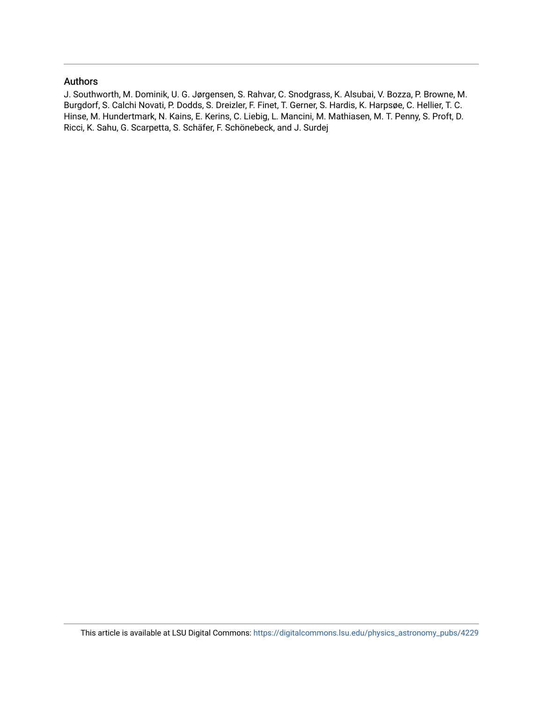# Authors

J. Southworth, M. Dominik, U. G. Jørgensen, S. Rahvar, C. Snodgrass, K. Alsubai, V. Bozza, P. Browne, M. Burgdorf, S. Calchi Novati, P. Dodds, S. Dreizler, F. Finet, T. Gerner, S. Hardis, K. Harpsøe, C. Hellier, T. C. Hinse, M. Hundertmark, N. Kains, E. Kerins, C. Liebig, L. Mancini, M. Mathiasen, M. T. Penny, S. Proft, D. Ricci, K. Sahu, G. Scarpetta, S. Schäfer, F. Schönebeck, and J. Surdej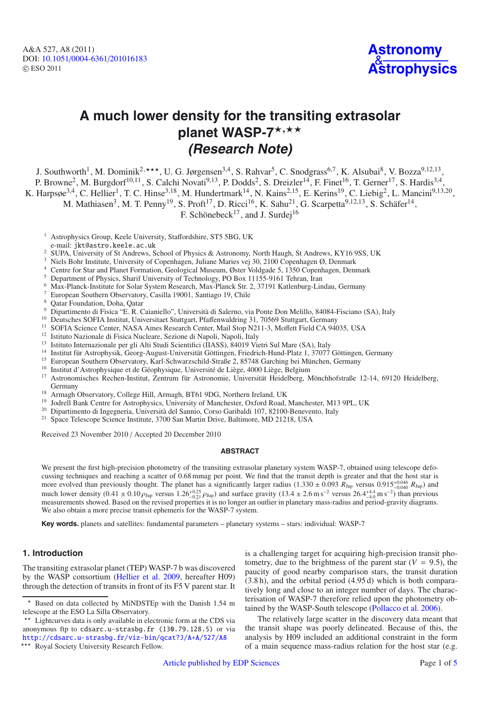A&A 527, A8 (2011) DOI: 10.1051/0004-6361/[201016183](http://dx.doi.org/10.1051/0004-6361/201016183) © ESO 2011



# **A much lower density for the transiting extrasolar** planet WASP-7\*<sup>,\*\*</sup> **(Research Note)**

J. Southworth<sup>1</sup>, M. Dominik<sup>2,\*\*\*</sup>, U. G. Jørgensen<sup>3,4</sup>, S. Rahvar<sup>5</sup>, C. Snodgrass<sup>6,7</sup>, K. Alsubai<sup>8</sup>, V. Bozza<sup>9,12,13</sup>,

P. Browne<sup>2</sup>, M. Burgdorf<sup>10,11</sup>, S. Calchi Novati<sup>9,13</sup>, P. Dodds<sup>2</sup>, S. Dreizler<sup>14</sup>, F. Finet<sup>16</sup>, T. Gerner<sup>17</sup>, S. Hardis<sup>3,4</sup>,

K. Harpsøe<sup>3,4</sup>, C. Hellier<sup>1</sup>, T. C. Hinse<sup>3,18</sup>, M. Hundertmark<sup>14</sup>, N. Kains<sup>2,15</sup>, E. Kerins<sup>19</sup>, C. Liebig<sup>2</sup>, L. Mancini<sup>9,13,20</sup>,

M. Mathiasen<sup>3</sup>, M. T. Penny<sup>19</sup>, S. Proft<sup>17</sup>, D. Ricci<sup>16</sup>, K. Sahu<sup>21</sup>, G. Scarpetta<sup>9,12,13</sup>, S. Schäfer<sup>14</sup>,

F. Schönebeck<sup>17</sup>, and J. Surdej<sup>16</sup>

<sup>1</sup> Astrophysics Group, Keele University, Staffordshire, ST5 5BG, UK

<sup>2</sup> SUPA, University of St Andrews, School of Physics & Astronomy, North Haugh, St Andrews, KY16 9SS, UK

- <sup>4</sup> Centre for Star and Planet Formation, Geological Museum, Øster Voldgade 5, 1350 Copenhagen, Denmark<br><sup>5</sup> Denartment of Physics, Sharif University of Technology, PO Box 11155 0161 Tehran, Iran
- <sup>5</sup> Department of Physics, Sharif University of Technology, PO Box 11155-9161 Tehran, Iran
- <sup>6</sup> Max-Planck-Institute for Solar System Research, Max-Planck Str. 2, 37191 Katlenburg-Lindau, Germany
- <sup>7</sup> European Southern Observatory, Casilla 19001, Santiago 19, Chile
- <sup>8</sup> Qatar Foundation, Doha, Qatar
- <sup>9</sup> Dipartimento di Fisica "E. R. Caianiello", Università di Salerno, via Ponte Don Melillo, 84084-Fisciano (SA), Italy
- 
- <sup>10</sup> Deutsches SOFIA Institut, Universitaet Stuttgart, Pfaffenwaldring 31, 70569 Stuttgart, Germany<br><sup>11</sup> SOFIA Science Center, NASA Ames Research Center, Mail Stop N211-3, Moffett Field CA 94035, USA<br><sup>12</sup> Istituto Naziona
- 
- <sup>13</sup> Istituto Internazionale per gli Alti Studi Scientifici (IIASS), 84019 Vietri Sul Mare (SA), Italy
- <sup>14</sup> Institut für Astrophysik, Georg-August-Universität Göttingen, Friedrich-Hund-Platz 1, 37077 Göttingen, Germany
- <sup>15</sup> European Southern Observatory, Karl-Schwarzschild-Straße 2, 85748 Garching bei München, Germany
- <sup>16</sup> Institut d'Astrophysique et de Géophysique, Université de Liège, 4000 Liège, Belgium<br><sup>17</sup> Astropomisches Bechen Institut, Zentrum für Astropomie, Universität Heidelberg, M
- <sup>17</sup> Astronomisches Rechen-Institut, Zentrum für Astronomie, Universität Heidelberg, Mönchhofstraße 12-14, 69120 Heidelberg, Germany
- <sup>18</sup> Armagh Observatory, College Hill, Armagh, BT61 9DG, Northern Ireland, UK
- <sup>19</sup> Jodrell Bank Centre for Astrophysics, University of Manchester, Oxford Road, Manchester, M13 9PL, UK<br><sup>20</sup> Dinastimente di Inacenesie, Università del Samie, Cesse Ceribaldi 107, 82100 Benevente, Italy
- <sup>20</sup> Dipartimento di Ingegneria, Università del Sannio, Corso Garibaldi 107, 82100-Benevento, Italy
- <sup>21</sup> Space Telescope Science Institute, 3700 San Martin Drive, Baltimore, MD 21218, USA

Received 23 November 2010 / Accepted 20 December 2010

#### **ABSTRACT**

We present the first high-precision photometry of the transiting extrasolar planetary system WASP-7, obtained using telescope defocussing techniques and reaching a scatter of 0.68 mmag per point. We find that the transit depth is greater and that the host star is more evolved than previously thought. The planet has a significantly larger radius  $(1.330 \pm 0.093 R_{Jup}$  versus  $0.915^{+0.046} R_{Jup}$  and<br>much lower density  $(0.41 \pm 0.10 \text{ g})$ , versus  $1.26^{+0.25}$  cm, and surface growity much lower density  $(0.41 \pm 0.10 \rho_{Jup}$  versus  $1.26^{+0.25}_{-0.21} \rho_{Jup}$  and surface gravity  $(13.4 \pm 2.6 \text{ m s}^{-2}$  versus  $26.4^{+4.4}_{-4.0} \text{ m s}^{-2})$  than previous measurements showed. Based on the revised properties it i measurements showed. Based on the revised properties it is no longer an outlier in planetary mass-radius and period-gravity diagrams. We also obtain a more precise transit ephemeris for the WASP-7 system.

**Key words.** planets and satellites: fundamental parameters – planetary systems – stars: individual: WASP-7

#### **1. Introduction**

The transiting extrasolar planet (TEP) WASP-7 b was discovered by the WASP consortium [\(Hellier et al. 2009,](#page-6-0) hereafter H09) through the detection of transits in front of its F5 V parent star. It is a challenging target for acquiring high-precision transit photometry, due to the brightness of the parent star  $(V = 9.5)$ , the paucity of good nearby comparison stars, the transit duration (3.8 h), and the orbital period (4.95 d) which is both comparatively long and close to an integer number of days. The characterisation of WASP-7 therefore relied upon the photometry obtained by the WASP-South telescope [\(Pollacco et al. 2006](#page-6-1)).

The relatively large scatter in the discovery data meant that the transit shape was poorly delineated. Because of this, the analysis by H09 included an additional constraint in the form of a main sequence mass-radius relation for the host star (e.g.

e-mail: jkt@astro.keele.ac.uk

<sup>3</sup> Niels Bohr Institute, University of Copenhagen, Juliane Maries vej 30, 2100 Copenhagen Ø, Denmark

<sup>-</sup>telescope at the ESO La Silla Observatory. Based on data collected by MiNDSTEp with the Danish 1.54 m

<sup>\*\*</sup> Lightcurves data is only available in electronic form at the CDS via anonymous ftp to cdsarc.u-strasbg.fr (130.79.128.5) or via <http://cdsarc.u-strasbg.fr/viz-bin/qcat?J/A+A/527/A8>

<sup>\*\*\*</sup> Royal Society University Research Fellow.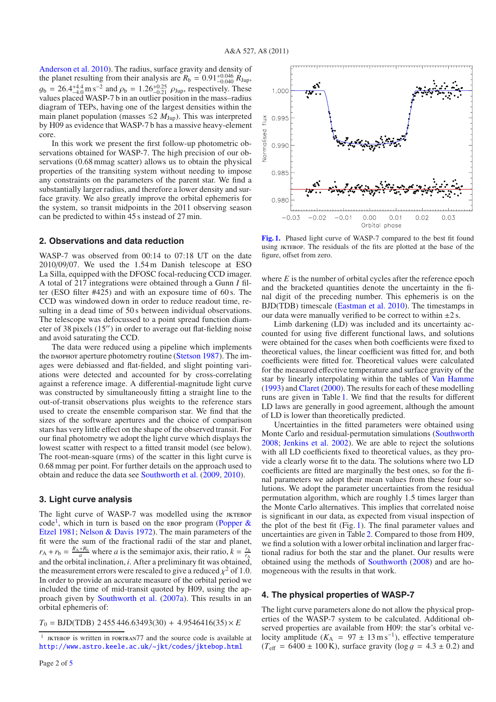[Anderson et al. 2010\)](#page-6-3). The radius, surface gravity and density of the planet resulting from their analysis are  $R_b = 0.91^{+0.046}_{-0.040} R_{\text{Jup}}$ ,<br> $a_b = 26.4^{+4.4}$  m s<sup>-2</sup> and  $a_b = 1.26^{+0.25}$ , can respectively. These  $g_b = 26.4^{+4.4}_{-4.0}$  m s<sup>-2</sup> and  $\rho_b = 1.26^{+0.25}_{-0.21}$   $\rho_{\text{Jup}}$ , respectively. These values placed WASP-7 b in an outlier position in the mass-radius values placed WASP-7 b in an outlier position in the mass–radius diagram of TEPs, having one of the largest densities within the main planet population (masses ≤2  $M_{Jup}$ ). This was interpreted by H09 as evidence that WASP-7 b has a massive heavy-element core.

In this work we present the first follow-up photometric observations obtained for WASP-7. The high precision of our observations (0.68 mmag scatter) allows us to obtain the physical properties of the transiting system without needing to impose any constraints on the parameters of the parent star. We find a substantially larger radius, and therefore a lower density and surface gravity. We also greatly improve the orbital ephemeris for the system, so transit midpoints in the 2011 observing season can be predicted to within 45 s instead of 27 min.

#### **2. Observations and data reduction**

WASP-7 was observed from 00:14 to 07:18 UT on the date 2010/09/07. We used the 1.54 m Danish telescope at ESO La Silla, equipped with the DFOSC focal-reducing CCD imager. A total of 217 integrations were obtained through a Gunn *I* filter (ESO filter #425) and with an exposure time of 60 s. The CCD was windowed down in order to reduce readout time, resulting in a dead time of 50 s between individual observations. The telescope was defocussed to a point spread function diameter of 38 pixels  $(15'')$  in order to average out flat-fielding noise and avoid saturating the CCD.

The data were reduced using a pipeline which implements the daophot aperture photometry routine [\(Stetson 1987\)](#page-6-4). The images were debiassed and flat-fielded, and slight pointing variations were detected and accounted for by cross-correlating against a reference image. A differential-magnitude light curve was constructed by simultaneously fitting a straight line to the out-of-transit observations plus weights to the reference stars used to create the ensemble comparison star. We find that the sizes of the software apertures and the choice of comparison stars has very little effect on the shape of the observed transit. For our final photometry we adopt the light curve which displays the lowest scatter with respect to a fitted transit model (see below). The root-mean-square (rms) of the scatter in this light curve is 0.68 mmag per point. For further details on the approach used to obtain and reduce the data see [Southworth et al.](#page-6-5) [\(2009,](#page-6-5) [2010](#page-6-6)).

#### **3. Light curve analysis**

The light curve of WASP-7 was modelled using the JKTEBOP code<sup>[1](#page-3-0)</sup>[,](#page-6-7) [which](#page-6-7) [in](#page-6-7) [turn](#page-6-7) [is](#page-6-7) [based](#page-6-7) [on](#page-6-7) [the](#page-6-7) EBOP program (Popper  $\&$ Etzel [1981](#page-6-7); [Nelson & Davis 1972](#page-6-8)). The main parameters of the fit were the sum of the fractional radii of the star and planet,  $r_A + r_b = \frac{R_A + R_b}{a}$  where *a* is the semimajor axis, their ratio,  $k = \frac{r_b}{r_A}$ and the orbital inclination, *i*. After a preliminary fit was obtained, the measurement errors were rescaled to give a reduced  $\chi^2$  of 1.0. In order to provide an accurate measure of the orbital period we included the time of mid-transit quoted by H09, using the approach given by [Southworth et al.](#page-6-9) [\(2007a](#page-6-9)). This results in an orbital ephemeris of:

 $T_0 = \text{BJD}(\text{TDB}) 2\,455\,446.63493(30) + 4.9546416(35) \times E$ <br> $\frac{1}{1}$  EXTEROR is written in FORTRAN<sup>77</sup> and the source code is available



<span id="page-3-1"></span>**[Fig. 1.](http://dexter.edpsciences.org/applet.php?DOI=10.1051/0004-6361/201016183&pdf_id=1)** Phased light curve of WASP-7 compared to the best fit found using JKTEBOP. The residuals of the fits are plotted at the base of the figure, offset from zero.

where *E* is the number of orbital cycles after the reference epoch and the bracketed quantities denote the uncertainty in the final digit of the preceding number. This ephemeris is on the BJD(TDB) timescale [\(Eastman et al. 2010](#page-6-10)). The timestamps in our data were manually verified to be correct to within  $\pm 2$  s.

Limb darkening (LD) was included and its uncertainty accounted for using five different functional laws, and solutions were obtained for the cases when both coefficients were fixed to theoretical values, the linear coefficient was fitted for, and both coefficients were fitted for. Theoretical values were calculated for the measured effective temperature and surface gravity of the star by linearly interpolating within the tables of [Van Hamme](#page-6-11) [\(1993](#page-6-11)) and [Claret](#page-6-12) [\(2000\)](#page-6-12). The results for each of these modelling runs are given in Table [1.](#page-4-0) We find that the results for different LD laws are generally in good agreement, although the amount of LD is lower than theoretically predicted.

Uncertainties in the fitted parameters were obtained using Monte Carlo and residual-permutation simulations [\(Southworth](#page-6-13) [2008;](#page-6-13) [Jenkins et al. 2002\)](#page-6-14). We are able to reject the solutions with all LD coefficients fixed to theoretical values, as they provide a clearly worse fit to the data. The solutions where two LD coefficients are fitted are marginally the best ones, so for the final parameters we adopt their mean values from these four solutions. We adopt the parameter uncertainties from the residual permutation algorithm, which are roughly 1.5 times larger than the Monte Carlo alternatives. This implies that correlated noise is significant in our data, as expected from visual inspection of the plot of the best fit (Fig. [1\)](#page-3-1). The final parameter values and uncertainties are given in Table [2.](#page-4-1) Compared to those from H09, we find a solution with a lower orbital inclination and larger fractional radius for both the star and the planet. Our results were obtained using the methods of [Southworth](#page-6-13) [\(2008](#page-6-13)) and are homogeneous with the results in that work.

#### **4. The physical properties of WASP-7**

The light curve parameters alone do not allow the physical properties of the WASP-7 system to be calculated. Additional observed properties are available from H09: the star's orbital velocity amplitude ( $K_A$  = 97 ± 13 m s<sup>-1</sup>), effective temperature  $(T_{\text{eff}} = 6400 \pm 100 \text{ K})$ , surface gravity ( $\log g = 4.3 \pm 0.2$ ) and

<span id="page-3-0"></span>JKTEBOP is written in FORTRAN77 and the source code is available at <http://www.astro.keele.ac.uk/~jkt/codes/jktebop.html>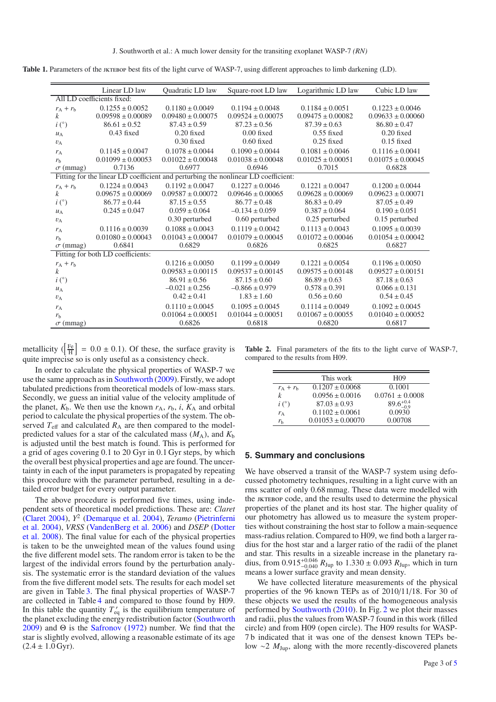<span id="page-4-0"></span>Table 1. Parameters of the *jktebop* best fits of the light curve of WASP-7, using different approaches to limb darkening (LD).

|                           | Linear LD law                     | <b>Ouadratic LD</b> law | Square-root LD law                                                                 | Logarithmic LD law    | Cubic LD law          |
|---------------------------|-----------------------------------|-------------------------|------------------------------------------------------------------------------------|-----------------------|-----------------------|
|                           | All LD coefficients fixed:        |                         |                                                                                    |                       |                       |
| $r_A + r_b$               | $0.1255 \pm 0.0052$               | $0.1180 \pm 0.0049$     | $0.1194 \pm 0.0048$                                                                | $0.1184 \pm 0.0051$   | $0.1223 \pm 0.0046$   |
| $\boldsymbol{k}$          | $0.09598 \pm 0.00089$             | $0.09480 \pm 0.00075$   | $0.09524 \pm 0.00075$                                                              | $0.09475 \pm 0.00082$ | $0.09633 \pm 0.00060$ |
| $i\binom{\circ}{ }$       | $86.61 \pm 0.52$                  | $87.43 \pm 0.59$        | $87.23 \pm 0.56$                                                                   | $87.39 \pm 0.63$      | $86.80 \pm 0.47$      |
| $u_A$                     | $0.43$ fixed                      | $0.20$ fixed            | $0.00$ fixed                                                                       | $0.55$ fixed          | $0.20$ fixed          |
| $v_A$                     |                                   | $0.30$ fixed            | $0.60$ fixed                                                                       | $0.25$ fixed          | $0.15$ fixed          |
| $r_A$                     | $0.1145 \pm 0.0047$               | $0.1078 \pm 0.0044$     | $0.1090 \pm 0.0044$                                                                | $0.1081 \pm 0.0046$   | $0.1116 \pm 0.0041$   |
| $r_{\rm h}$               | $0.01099 \pm 0.00053$             | $0.01022 \pm 0.00048$   | $0.01038 \pm 0.00048$                                                              | $0.01025 \pm 0.00051$ | $0.01075 \pm 0.00045$ |
| $\sigma$ (mmag)           | 0.7136                            | 0.6977                  | 0.6946                                                                             | 0.7015                | 0.6828                |
|                           |                                   |                         | Fitting for the linear LD coefficient and perturbing the nonlinear LD coefficient: |                       |                       |
| $r_A + r_b$               | $0.1224 \pm 0.0043$               | $0.1192 \pm 0.0047$     | $0.1227 \pm 0.0046$                                                                | $0.1221 \pm 0.0047$   | $0.1200 \pm 0.0044$   |
| $\boldsymbol{k}$          | $0.09675 \pm 0.00069$             | $0.09587 \pm 0.00072$   | $0.09646 \pm 0.00065$                                                              | $0.09628 \pm 0.00069$ | $0.09623 \pm 0.00071$ |
| $i\binom{\circ}{ }$       | $86.77 \pm 0.44$                  | $87.15 \pm 0.55$        | $86.77 \pm 0.48$                                                                   | $86.83 \pm 0.49$      | $87.05 \pm 0.49$      |
| $u_A$                     | $0.245 \pm 0.047$                 | $0.059 \pm 0.064$       | $-0.134 \pm 0.059$                                                                 | $0.387 \pm 0.064$     | $0.190 \pm 0.051$     |
| $v_A$                     |                                   | 0.30 perturbed          | 0.60 perturbed                                                                     | 0.25 perturbed        | 0.15 perturbed        |
| $r_A$                     | $0.1116 \pm 0.0039$               | $0.1088 \pm 0.0043$     | $0.1119 \pm 0.0042$                                                                | $0.1113 \pm 0.0043$   | $0.1095 \pm 0.0039$   |
| $r_{\rm b}$               | $0.01080 \pm 0.00043$             | $0.01043 \pm 0.00047$   | $0.01079 \pm 0.00045$                                                              | $0.01072 \pm 0.00046$ | $0.01054 \pm 0.00042$ |
| $\sigma$ (mmag)           | 0.6841                            | 0.6829                  | 0.6826                                                                             | 0.6825                | 0.6827                |
|                           | Fitting for both LD coefficients: |                         |                                                                                    |                       |                       |
| $r_A + r_b$               |                                   | $0.1216 \pm 0.0050$     | $0.1199 \pm 0.0049$                                                                | $0.1221 \pm 0.0054$   | $0.1196 \pm 0.0050$   |
| $\boldsymbol{k}$          |                                   | $0.09583 \pm 0.00115$   | $0.09537 \pm 0.00145$                                                              | $0.09575 \pm 0.00148$ | $0.09527 \pm 0.00151$ |
| $i\left( \degree \right)$ |                                   | $86.91 \pm 0.56$        | $87.15 \pm 0.60$                                                                   | $86.89 \pm 0.63$      | $87.18 \pm 0.63$      |
| $u_A$                     |                                   | $-0.021 \pm 0.256$      | $-0.866 \pm 0.979$                                                                 | $0.578 \pm 0.391$     | $0.066 \pm 0.131$     |
| $v_A$                     |                                   | $0.42 \pm 0.41$         | $1.83 \pm 1.60$                                                                    | $0.56 \pm 0.60$       | $0.54 \pm 0.45$       |
| $r_A$                     |                                   | $0.1110 \pm 0.0045$     | $0.1095 \pm 0.0045$                                                                | $0.1114 \pm 0.0049$   | $0.1092 \pm 0.0045$   |
| r <sub>b</sub>            |                                   | $0.01064 \pm 0.00051$   | $0.01044 \pm 0.00051$                                                              | $0.01067 \pm 0.00055$ | $0.01040 \pm 0.00052$ |
| $\sigma$ (mmag)           |                                   | 0.6826                  | 0.6818                                                                             | 0.6820                | 0.6817                |
|                           |                                   |                         |                                                                                    |                       |                       |

metallicity  $(\frac{Fe}{H}) = 0.0 \pm 0.1$ ). Of these, the surface gravity is quite imprecise so is only useful as a consistency check.

In order to calculate the physical properties of WASP-7 we use the same approach as in [Southworth](#page-6-15) [\(2009](#page-6-15)). Firstly, we adopt tabulated predictions from theoretical models of low-mass stars. Secondly, we guess an initial value of the velocity amplitude of the planet,  $K_b$ . We then use the known  $r_A$ ,  $r_b$ , *i*,  $K_A$  and orbital period to calculate the physical properties of the system. The observed  $T_{\text{eff}}$  and calculated  $R_A$  are then compared to the modelpredicted values for a star of the calculated mass  $(M_A)$ , and  $K_b$ is adjusted until the best match is found. This is performed for a grid of ages covering 0.1 to 20 Gyr in 0.1 Gyr steps, by which the overall best physical properties and age are found. The uncertainty in each of the input parameters is propagated by repeating this procedure with the parameter perturbed, resulting in a detailed error budget for every output parameter.

The above procedure is performed five times, using independent sets of theoretical model predictions. These are: *Claret* [\(Claret 2004](#page-6-16)), *Y*<sup>2</sup> [\(Demarque et al. 2004](#page-6-17)[\),](#page-6-18) *Teramo* (Pietrinferni et al. [2004](#page-6-18)), *VRSS* [\(VandenBerg et al. 2006](#page-6-19)[\) and](#page-6-20) *DSEP* (Dotter et al. [2008](#page-6-20)). The final value for each of the physical properties is taken to be the unweighted mean of the values found using the five different model sets. The random error is taken to be the largest of the individal errors found by the perturbation analysis. The systematic error is the standard deviation of the values from the five different model sets. The results for each model set are given in Table [3.](#page-5-0) The final physical properties of WASP-7 are collected in Table [4](#page-5-1) and compared to those found by H09. In this table the quantity  $T'_{eq}$  is the equilibrium temperature of the planet excluding the energy redistribution factor [\(Southworth](#page-6-15) [2009](#page-6-15)) and  $\Theta$  is the [Safronov](#page-6-21) [\(1972\)](#page-6-21) number. We find that the star is slightly evolved, allowing a reasonable estimate of its age  $(2.4 \pm 1.0 \,\text{Gyr})$ .

<span id="page-4-1"></span>**Table 2.** Final parameters of the fits to the light curve of WASP-7, compared to the results from H09.

|                           | This work             | H <sub>09</sub>      |
|---------------------------|-----------------------|----------------------|
| $r_{\rm A}$ + $r_{\rm h}$ | $0.1207 \pm 0.0068$   | 0.1001               |
| k                         | $0.0956 \pm 0.0016$   | $0.0761 \pm 0.0008$  |
| i(°)                      | $87.03 \pm 0.93$      | $89.6^{+0.4}_{-0.9}$ |
| $r_A$                     | $0.1102 \pm 0.0061$   | 0.0930               |
| $r_{\rm h}$               | $0.01053 \pm 0.00070$ | 0.00708              |

#### **5. Summary and conclusions**

We have observed a transit of the WASP-7 system using defocussed photometry techniques, resulting in a light curve with an rms scatter of only 0.68 mmag. These data were modelled with the JKTEBOP code, and the results used to determine the physical properties of the planet and its host star. The higher quality of our photometry has allowed us to measure the system properties without constraining the host star to follow a main-sequence mass-radius relation. Compared to H09, we find both a larger radius for the host star and a larger ratio of the radii of the planet and star. This results in a sizeable increase in the planetary radius, from  $0.915^{+0.046}_{-0.040}$   $R_{\text{Jup}}$  to  $1.330 \pm 0.093$   $R_{\text{Jup}}$ , which in turn means a lower surface gravity and mean density. means a lower surface gravity and mean density.

We have collected literature measurements of the physical properties of the 96 known TEPs as of 2010/11/18. For 30 of these objects we used the results of the homogeneous analysis performed by [Southworth](#page-6-22) [\(2010](#page-6-22)). In Fig. [2](#page-5-2) we plot their masses and radii, plus the values from WASP-7 found in this work (filled circle) and from H09 (open circle). The H09 results for WASP-7 b indicated that it was one of the densest known TEPs below ∼2 *M*Jup, along with the more recently-discovered planets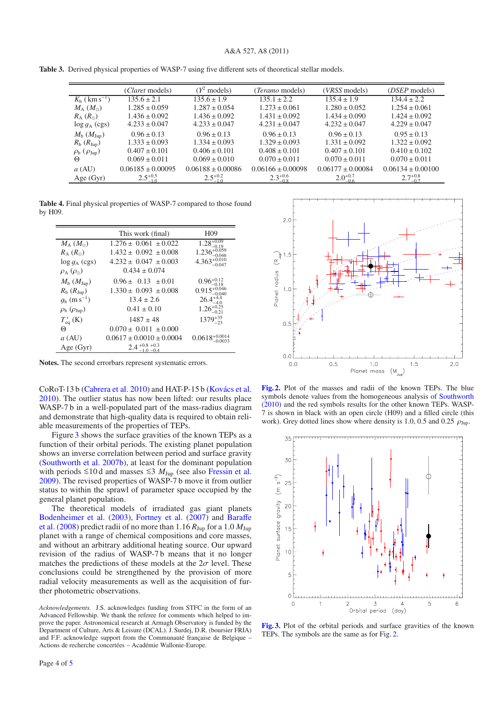<span id="page-5-0"></span>

|  | Table 3. Derived physical properties of WASP-7 using five different sets of theoretical stellar models. |  |  |  |  |  |  |  |
|--|---------------------------------------------------------------------------------------------------------|--|--|--|--|--|--|--|
|--|---------------------------------------------------------------------------------------------------------|--|--|--|--|--|--|--|

|                                     | ( <i>Claret</i> models) | $(Y^2 \text{ models})$ | ( <i>Teramo</i> models) | ( <i>VRSS</i> models) | ( <i>DSEP</i> models) |
|-------------------------------------|-------------------------|------------------------|-------------------------|-----------------------|-----------------------|
| $K_{\rm b}$ ( km s <sup>-1</sup> )  | $135.6 \pm 2.1$         | $135.6 \pm 1.9$        | $135.1 \pm 2.2$         | $135.4 \pm 1.9$       | $134.4 \pm 2.2$       |
| $M_A$ $(M_{\odot})$                 | $1.285 \pm 0.059$       | $1.287 \pm 0.054$      | $1.273 \pm 0.061$       | $1.280 \pm 0.052$     | $1.254 \pm 0.061$     |
| $R_{\rm A}$ $(R_{\odot})$           | $1.436 \pm 0.092$       | $1.436 \pm 0.092$      | $1.431 \pm 0.092$       | $1.434 \pm 0.090$     | $1.424 \pm 0.092$     |
| $\log q_A$ (cgs)                    | $4.233 \pm 0.047$       | $4.233 \pm 0.047$      | $4.231 \pm 0.047$       | $4.232 \pm 0.047$     | $4.229 \pm 0.047$     |
| $M_{\rm b}$ $(M_{\rm Jup})$         | $0.96 \pm 0.13$         | $0.96 \pm 0.13$        | $0.96 \pm 0.13$         | $0.96 \pm 0.13$       | $0.95 \pm 0.13$       |
| $R_{\rm b}$ $(R_{\rm Jup})$         | $1.333 \pm 0.093$       | $1.334 \pm 0.093$      | $1.329 \pm 0.093$       | $1.331 \pm 0.092$     | $1.322 \pm 0.092$     |
| $\rho_{\rm b}$ ( $\rho_{\rm Jup}$ ) | $0.407 \pm 0.101$       | $0.406 \pm 0.101$      | $0.408 \pm 0.101$       | $0.407 \pm 0.101$     | $0.410 \pm 0.102$     |
| Θ                                   | $0.069 \pm 0.011$       | $0.069 \pm 0.010$      | $0.070 \pm 0.011$       | $0.070 \pm 0.011$     | $0.070 \pm 0.011$     |
| a (AU)                              | $0.06185 \pm 0.00095$   | $0.06188 \pm 0.00086$  | $0.06166 \pm 0.00098$   | $0.06177 \pm 0.00084$ | $0.06134 \pm 0.00100$ |
| Age (Gyr)                           | $2.5^{+0.5}_{-1.0}$     | $2.5^{+0.2}_{-1.0}$    | $2.3^{+0.6}_{-0.8}$     | $2.0^{+0.7}_{-0.6}$   | $2.7^{+0.8}_{-0.7}$   |

<span id="page-5-1"></span>**Table 4.** Final physical properties of WASP-7 compared to those found by H09.

|                                       | This work (final)              | H <sub>09</sub>           |
|---------------------------------------|--------------------------------|---------------------------|
| $M_A$ $(M_{\odot})$                   | $1.276 \pm 0.061 \pm 0.022$    | $1.28^{+0.09}_{-0.12}$    |
| $R_{\rm A}$ $(R_{\odot})$             | $1.432 \pm 0.092 \pm 0.008$    | 1.236                     |
| $\log g_A$ (cgs)                      | $4.232 \pm 0.047 \pm 0.003$    | $4.363_{-0.047}^{+0.010}$ |
| $\rho_{\rm A}$ ( $\rho_{\rm \odot}$ ) | $0.434 \pm 0.074$              |                           |
| $M_{\rm b}$ $(M_{\rm Jup})$           | $0.96 \pm 0.13 \pm 0.01$       | $0.96_{-0.18}^{+0.12}$    |
| $R_{\rm b}$ ( $R_{\rm Jup}$ )         | $1.330 \pm 0.093 \pm 0.008$    | $0.915_{-0.040}^{+0.046}$ |
| $g_b$ (m s <sup>-1</sup> )            | $13.4 \pm 2.6$                 | $26.4^{+4.4}_{-4.0}$      |
| $\rho_{\rm b}$ ( $\rho_{\rm Jup}$ )   | $0.41 \pm 0.10$                | $1.26_{-0.21}^{+0.25}$    |
| $T'_{eq}$ (K)                         | $1487 \pm 48$                  | $1379^{+35}_{-23}$        |
| Θ                                     | $0.070 \pm 0.011 \pm 0.000$    |                           |
| $a$ (AU)                              | $0.0617 \pm 0.0010 \pm 0.0004$ | $0.0618^{+0.0}_{-0.0}$    |
| Age $(Gyr)$                           | $2.4 + 0.8 + 0.3$              |                           |

**Notes.** The second errorbars represent systematic errors.

CoRoT-13 b [\(Cabrera et al. 2010](#page-6-23)) and HAT-P-15 b [\(Kovács et al.](#page-6-24) [2010](#page-6-24)). The outlier status has now been lifted: our results place WASP-7 b in a well-populated part of the mass-radius diagram and demonstrate that high-quality data is required to obtain reliable measurements of the properties of TEPs.

Figure [3](#page-5-3) shows the surface gravities of the known TEPs as a function of their orbital periods. The existing planet population shows an inverse correlation between period and surface gravity [\(Southworth et al. 2007b](#page-6-25)), at least for the dominant population with periods ≤10 d and masses ≤3  $M_{\text{Jup}}$  (see also [Fressin et al.](#page-6-26) [2009](#page-6-26)). The revised properties of WASP-7 b move it from outlier status to within the sprawl of parameter space occupied by the general planet population.

The theoretical models of irradiated gas giant planets [Bodenheimer et al.](#page-6-27) [\(2003\)](#page-6-27), [Fortney et al.](#page-6-28) [\(2007\)](#page-6-28) and Baraffe et al. [\(2008\)](#page-6-29) predict radii of no more than  $1.16 R_{Jup}$  for a  $1.0 M_{Jup}$ planet with a range of chemical compositions and core masses, and without an arbitrary additional heating source. Our upward revision of the radius of WASP-7 b means that it no longer matches the predictions of these models at the  $2\sigma$  level. These conclusions could be strengthened by the provision of more radial velocity measurements as well as the acquisition of further photometric observations.

*Acknowledgements.* J.S. acknowledges funding from STFC in the form of an Advanced Fellowship. We thank the referee for comments which helped to improve the paper. Astronomical research at Armagh Observatory is funded by the Department of Culture, Arts & Leisure (DCAL). J. Surdej, D.R. (boursier FRIA) and F.F. acknowledge support from the Communauté française de Belgique – Actions de recherche concertées – Académie Wallonie-Europe.



<span id="page-5-2"></span>**[Fig. 2.](http://dexter.edpsciences.org/applet.php?DOI=10.1051/0004-6361/201016183&pdf_id=2)** Plot of the masses and radii of the known TEPs. The blue symbols denote values from the homogeneous analysis of [Southworth](#page-6-22) [\(2010\)](#page-6-22) and the red symbols results for the other known TEPs. WASP-7 is shown in black with an open circle (H09) and a filled circle (this work). Grey dotted lines show where density is 1.0, 0.5 and 0.25  $\rho_{\text{Jup}}$ .



<span id="page-5-3"></span>**[Fig. 3.](http://dexter.edpsciences.org/applet.php?DOI=10.1051/0004-6361/201016183&pdf_id=3)** Plot of the orbital periods and surface gravities of the known TEPs. The symbols are the same as for Fig. [2.](#page-5-2)